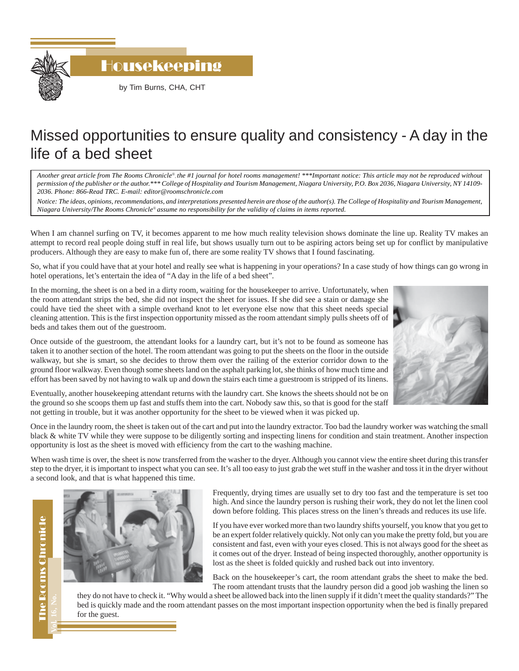

Housekeeping

by Tim Burns, CHA, CHT

## Missed opportunities to ensure quality and consistency - A day in the life of a bed sheet

*Another great article from The Rooms Chronicle*®*, the #1 journal for hotel rooms management! \*\*\*Important notice: This article may not be reproduced without permission of the publisher or the author.\*\*\* College of Hospitality and Tourism Management, Niagara University, P.O. Box 2036, Niagara University, NY 14109- 2036. Phone: 866-Read TRC. E-mail: editor@roomschronicle.com*

*Notice: The ideas, opinions, recommendations, and interpretations presented herein are those of the author(s). The College of Hospitality and Tourism Management, Niagara University/The Rooms Chronicle*® *assume no responsibility for the validity of claims in items reported.*

When I am channel surfing on TV, it becomes apparent to me how much reality television shows dominate the line up. Reality TV makes an attempt to record real people doing stuff in real life, but shows usually turn out to be aspiring actors being set up for conflict by manipulative producers. Although they are easy to make fun of, there are some reality TV shows that I found fascinating.

So, what if you could have that at your hotel and really see what is happening in your operations? In a case study of how things can go wrong in hotel operations, let's entertain the idea of "A day in the life of a bed sheet".

In the morning, the sheet is on a bed in a dirty room, waiting for the housekeeper to arrive. Unfortunately, when the room attendant strips the bed, she did not inspect the sheet for issues. If she did see a stain or damage she could have tied the sheet with a simple overhand knot to let everyone else now that this sheet needs special cleaning attention. This is the first inspection opportunity missed as the room attendant simply pulls sheets off of beds and takes them out of the guestroom.

Once outside of the guestroom, the attendant looks for a laundry cart, but it's not to be found as someone has taken it to another section of the hotel. The room attendant was going to put the sheets on the floor in the outside walkway, but she is smart, so she decides to throw them over the railing of the exterior corridor down to the ground floor walkway. Even though some sheets land on the asphalt parking lot, she thinks of how much time and effort has been saved by not having to walk up and down the stairs each time a guestroom is stripped of its linens.



Eventually, another housekeeping attendant returns with the laundry cart. She knows the sheets should not be on the ground so she scoops them up fast and stuffs them into the cart. Nobody saw this, so that is good for the staff not getting in trouble, but it was another opportunity for the sheet to be viewed when it was picked up.

Once in the laundry room, the sheet is taken out of the cart and put into the laundry extractor. Too bad the laundry worker was watching the small black & white TV while they were suppose to be diligently sorting and inspecting linens for condition and stain treatment. Another inspection opportunity is lost as the sheet is moved with efficiency from the cart to the washing machine.

When wash time is over, the sheet is now transferred from the washer to the dryer. Although you cannot view the entire sheet during this transfer step to the dryer, it is important to inspect what you can see. It's all too easy to just grab the wet stuff in the washer and toss it in the dryer without a second look, and that is what happened this time.

**Vol. 16, No.**



Frequently, drying times are usually set to dry too fast and the temperature is set too high. And since the laundry person is rushing their work, they do not let the linen cool down before folding. This places stress on the linen's threads and reduces its use life.

If you have ever worked more than two laundry shifts yourself, you know that you get to be an expert folder relatively quickly. Not only can you make the pretty fold, but you are consistent and fast, even with your eyes closed. This is not always good for the sheet as it comes out of the dryer. Instead of being inspected thoroughly, another opportunity is lost as the sheet is folded quickly and rushed back out into inventory.

Back on the housekeeper's cart, the room attendant grabs the sheet to make the bed. The room attendant trusts that the laundry person did a good job washing the linen so

they do not have to check it. "Why would a sheet be allowed back into the linen supply if it didn't meet the quality standards?" The bed is quickly made and the room attendant passes on the most important inspection opportunity when the bed is finally prepared for the guest.